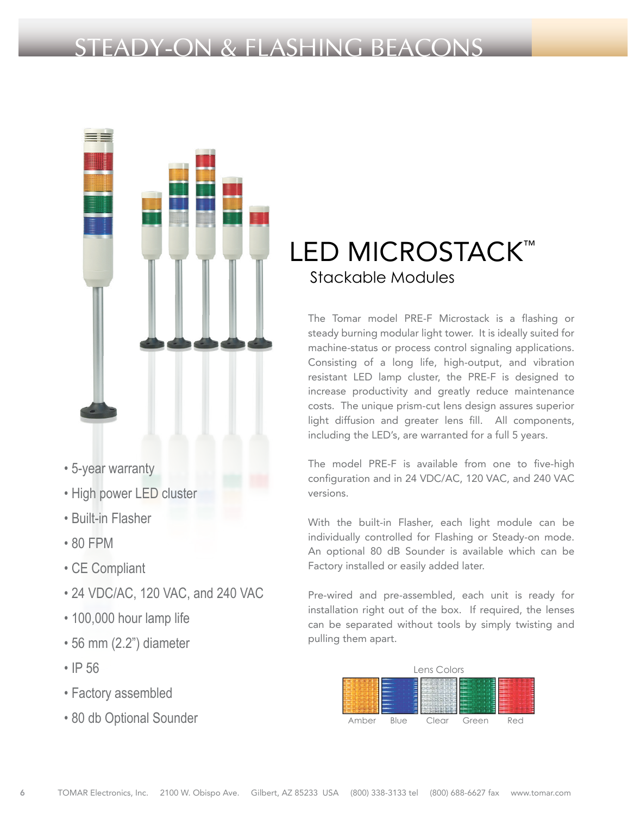## STEADY-ON & FLASHING BEACONS



- 5-year warranty
- High power LED cluster
- Built-in Flasher
- 80 FPM
- CE Compliant
- 24 VDC/AC, 120 VAC, and 240 VAC
- 100,000 hour lamp life
- 56 mm (2.2") diameter
- IP 56

6

- Factory assembled
- 80 db Optional Sounder

# Stackable Modules LED MICROSTACK™

The Tomar model PRE-F Microstack is a flashing or steady burning modular light tower. It is ideally suited for machine-status or process control signaling applications. Consisting of a long life, high-output, and vibration resistant LED lamp cluster, the PRE-F is designed to increase productivity and greatly reduce maintenance costs. The unique prism-cut lens design assures superior light diffusion and greater lens fill. All components, including the LED's, are warranted for a full 5 years.

The model PRE-F is available from one to five-high configuration and in 24 VDC/AC, 120 VAC, and 240 VAC versions.

With the built-in Flasher, each light module can be individually controlled for Flashing or Steady-on mode. An optional 80 dB Sounder is available which can be Factory installed or easily added later.

Pre-wired and pre-assembled, each unit is ready for installation right out of the box. If required, the lenses can be separated without tools by simply twisting and pulling them apart.